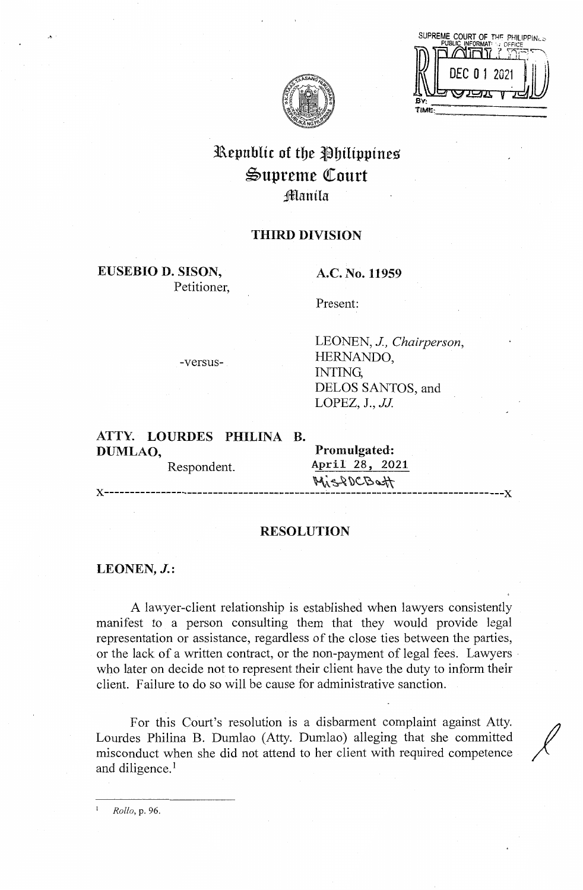| SUPREME COURT OF THE<br>PHILIPPINLS<br>PUBLIC INFORMAT: J OFFICE |
|------------------------------------------------------------------|
|                                                                  |
| DEC 0 1 2021                                                     |
| 四水                                                               |
|                                                                  |



# Republic of the Philippines Supreme Court :fflanila

# **THIRD DIVISION**

**EUSEBIO D. SISON,**  Petitioner,

## **A.C. No. 11959**

Present:

-versus-

LEONEN, *J, Chairperson,*  HERNANDO, INTING, DELOS SANTOS, and LOPEZ, J., *JJ* 

**ATTY. LOURDES PHILINA B. DUMLAO, Promulgated:** 

Respondent. **April 28, 2021**   $\mathcal{H}$  $\mathcal{L}$ **x------------------------------------------------------------------------------x** 

#### **RESOLUTION**

**LEONEN, J.:** 

A lawyer-client relationship is established when lawyers consistently manifest to a person consulting them that they would provide legal representation or assistance, regardless of the close ties between the parties, or the lack of a written contract, or the non-payment of legal fees. Lawyers · who later on decide not to represent their client have the duty to inform their client. Failure to do so will be cause for administrative sanction.

For this Court's resolution is a disbarment complaint against Atty. Lourdes Philina B. Dumlao (Atty. Dumlao) alleging that she committed / misconduct when she did not attend to her client with required competence and diligence.<sup>1</sup>

<sup>1</sup>*Rollo,* p. 96.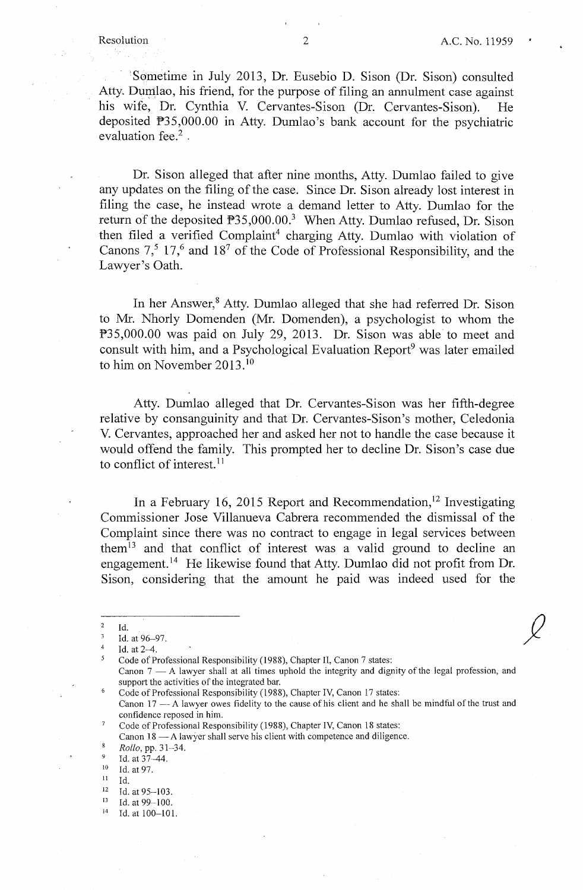·sometime in July 2013, Dr. Eusebio D. Sison (Dr. Sison) consulted Atty. Dumlao, his friend, for the purpose of filing an annulment case against his wife, Dr. Cynthia V. Cervantes-Sison (Dr. Cervantes-Sison). He deposited P35,000.00 in Atty. Dumlao's bank account for the psychiatric evaluation fee.<sup>2</sup>.

Dr. Sison alleged that after nine months, Atty. Dumlao failed to give any updates on the filing of the case. Since Dr. Sison already lost interest in filing the case, he instead wrote a demand letter to Atty. Dumlao for the return of the deposited P35,000.00.<sup>3</sup> When Atty. Dumlao refused, Dr. Sison then filed a verified Complaint<sup>4</sup> charging Atty. Dumlao with violation of Canons  $7<sup>5</sup>$  17<sup>6</sup> and 18<sup>7</sup> of the Code of Professional Responsibility, and the Lawyer's Oath.

In her Answer,<sup>8</sup> Atty. Dumlao alleged that she had referred Dr. Sison to Mr. Nhorly Domenden (Mr. Domenden), a psychologist to whom the P35,000.00 was paid on July 29, 2013. Dr. Sison was able to meet and consult with him, and a Psychological Evaluation Report<sup>9</sup> was later emailed to him on November 2013.<sup>10</sup>

Atty. Dumlao alleged that Dr. Cervantes-Sison was her fifth-degree relative by consanguinity and that Dr. Cervantes-Sison's mother, Celedonia V. Cervantes, approached her and asked her not to handle the case because it would offend the family. This prompted her to decline Dr. Sison's case due to conflict of interest.<sup>11</sup>

In a February 16, 2015 Report and Recommendation,<sup>12</sup> Investigating Commissioner Jose Villanueva Cabrera recommended the dismissal of the Complaint since there was no contract to engage in legal services between them<sup> $13$ </sup> and that conflict of interest was a valid ground to decline an engagement.<sup>14</sup> He likewise found that Atty. Dumlao did not profit from Dr. Sison, considering that the amount he paid was indeed used for the

<sup>4</sup>Id. at 2-4.

5 Code of Professional Responsibility (1988), Chapter II, Canon 7 states:

<sup>9</sup> Id. at 37–44.<br><sup>10</sup> Id. at 97.

 $2 \overline{1d}$ 

<sup>3</sup> Id. at 96-97.

Canon  $7 - A$  lawyer shall at all times uphold the integrity and dignity of the legal profession, and support the activities of the integrated bar.

Code of Professional Responsibility (1988), Chapter IV, Canon 17 states:

Canon 17 - A lawyer owes fidelity to the cause of his client and he shall be mindful of the trust and confidence reposed in him.

Code of Professional Responsibility (1988), Chapter IV, Canon 18 states: Canon  $18 - A$  lawyer shall serve his client with competence and diligence.

 $Rollo, pp. 31-34.$ <br><sup>9</sup>  $Id$  at 37 44

<sup>&</sup>lt;sup>11</sup> Id.<br><sup>12</sup> Id. at 95–103.<br><sup>13</sup> Id. at 99–100.

<sup>&</sup>lt;sup>13</sup> Id. at 99-100.<br><sup>14</sup> Id. at 100-101.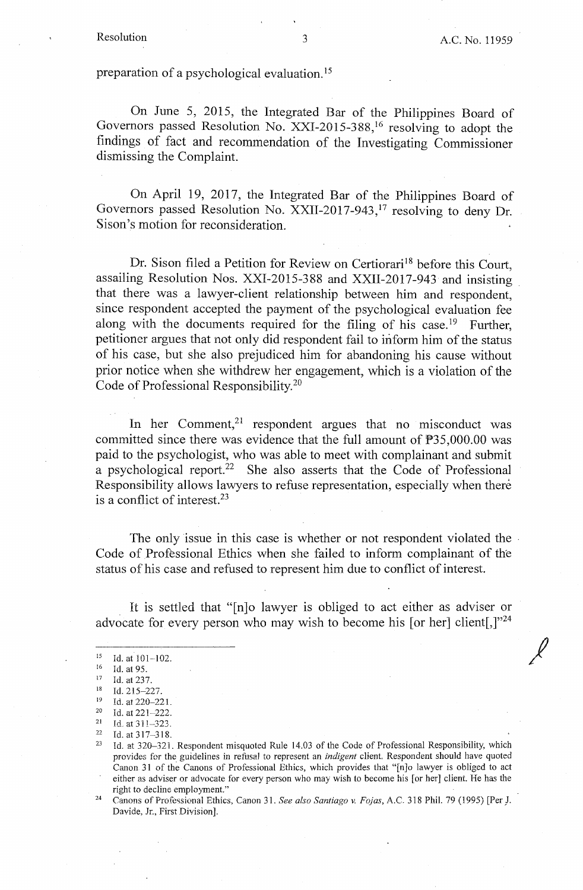$\ell$ 

preparation of a psychological evaluation. 15

On June 5, 2015, the Integrated Bar of the Philippines Board of Governors passed Resolution No. XXI-2015-388, 16 resolving to adopt the findings of fact and recommendation of the Investigating Commissioner dismissing the Complaint.

On April 19, 2017, the Integrated Bar of the Philippines Board of Governors passed Resolution No. XXII-2017-943, 17 resolving to deny Dr. Sison's motion for reconsideration.

Dr. Sison filed a Petition for Review on Certiorari<sup>18</sup> before this Court, assailing Resolution Nos. XXI-2015-388 and XXII-2017-943 and insisting that there was a lawyer-client relationship between him and respondent, since respondent accepted the payment of the psychological evaluation fee along with the documents required for the filing of his case.<sup>19</sup> Further, petitioner argues that not only did respondent fail to inform him of the status of his case, but she also prejudiced him for abandoning his cause without prior notice when she withdrew her engagement, which is a violation of the Code of Professional Responsibility. 20

In her Comment, $21$  respondent argues that no misconduct was committed since there was evidence that the full amount of P35,000.00 was paid to the psychologist, who was able to meet with complainant and submit a psychological report.<sup>22</sup> She also asserts that the Code of Professional Responsibility allows lawyers to refuse representation, especially when there is a conflict of interest.<sup>23</sup>

The only issue in this case is whether or not respondent violated the Code of Professional Ethics when she failed to inform complainant of the status of his case and refused to represent him due to conflict of interest.

It is settled that "[n]o lawyer is obliged to act either as adviser or advocate for every person who may wish to become his [or her] client[,] $v^{24}$ 

<sup>16</sup> Id. at 95.<br><sup>17</sup> Id. at 237.<br><sup>18</sup> Id. 215-227.

 $^{15}$  Id. at 101-102.

<sup>19</sup> Id. at 220-221.<br>
20 Id. at 221-222.<br>
21 Id. at 311-323.<br>
22 Id. at 317--318.<br>
23 Id. at 320-321. Respondent misquoted Rule 14.03 of the Code of Professional Responsibility, which provides for the guidelines in refusal to represent an *indigent* client. Respondent should have quoted Canon 31 of the Canons of Professional Ethics, which provides that "[n]o lawyer is obliged to act either as adviser or advocate for every person who may wish to become his [or her] client. He has the right to decline employment." 24 Canons of Professional Ethics, Canon 31. *See also Santiago v. Fojas,* A.C. 318 Phil. 79 (1995) [Per J.

Davide, Jr., First Division].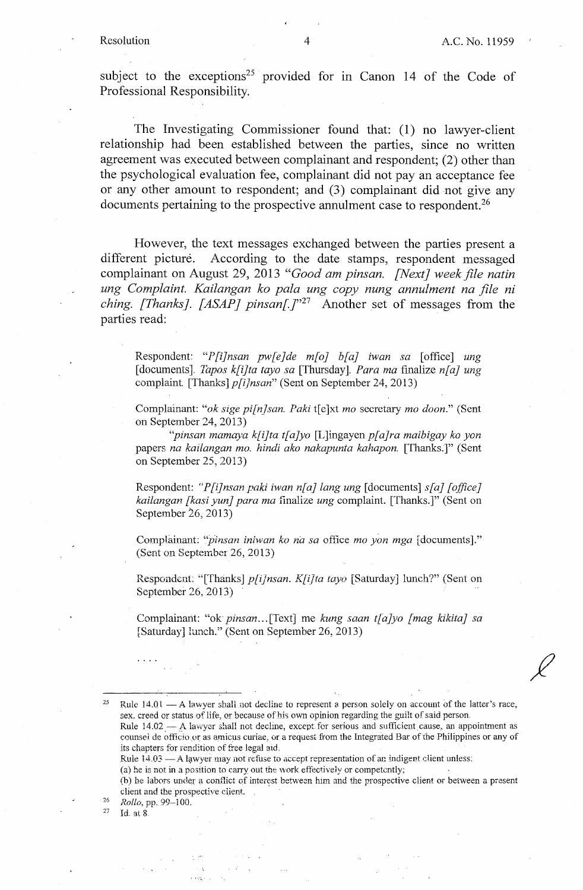subject to the exceptions<sup>25</sup> provided for in Canon 14 of the Code of Professional Responsibility.

The Investigating Commissioner found that: (1) no lawyer-client relationship had been established between the parties, since no written agreement was executed between complainant and respondent; (2) other than the psychological evaluation fee, complainant did not pay an acceptance fee or any other amount to respondent; and (3) complainant did not give any documents pertaining to the prospective annulment case to respondent.<sup>26</sup>

However, the text messages exchanged between the parties present a different picture. According to the date stamps, respondent messaged complainant on August 29, 2013 *"Good am pinsan. [Next] week.file natin ung Complaint. Kailangan ko pala ung copy nung annulment na file ni ching. [Thanks]. [ASAP] pins an[* ]"27 Another set of messages from the parties read:

Respondent: "P[i]nsan pw[e]de m[o] b[a] iwan sa [office] ung [documents]. *Tapos k[i]ta tayo sa* [Thursday]. *Para ma* finalize *n[a] ung*  complaint. [Thanks] *p[i]nsan"* (Sent on September 24, 2013)

Complainant: *"ok sige pi[n}san. Paki* t[e]xt *mo* secretary *mo doon."* (Sent on September 24, 2013)

*"pinsan mamaya k[i]ta t[a]yo* [L]ingayen *p[a]ra maibigay ko yon*  papers *na kailangan mo. hindi aka nakapunta kahapon.* [Thanks.]" (Sent on September 25, 2013)

Respondent: *"P[i]nsan paki iwan n[a] lang ung* [documents] *s[a] [office] kailangan [kasi yun] para ma* finalize *ung* complaint. [Thanks.]" (Sent on September 26, 2013)

Complainant: *''p'insan iniwan ko na sa* office *mo yon mga* [documents]." (Sent on September 26, 2013)

Respondent; "[Thanks] *p[i]nsan. K[i]ta tayo* [Saturday] lunch?" (Sent on September 26, 2013)

Complainant: "ok *pinsan ...* [Text] me *kung saan t[a]yo [mag kikita] sa*  [Saturday] lunch." (Sent on September 26, 2013)

<sup>25</sup> Rule  $14.01 - A$  lawyer shall not decline to represent a person solely on account of the latter's race, sex. creed or status of life, or because of his own opinion regarding the guilt of said person.

Rule 14.02 --- A lawyer shall not decline, except for serious and sufficient cause, an appointment as counsel de officio or as amicus curiae, or a request from the Integrated Bar of the Philippines or any of its chapters for rendition of free legal aid.

Rule 14.03 - A lawyer may not refuse to accept representation of an indigent client unless:

(a) he is not in a position to carry out the work effectively or competently;

(b) he labors under a conflict of interest between him and the prospective client or between a present client and the prospective client.<br><sup>26</sup> *Rollo, pp.* 99-100.<br><sup>27</sup> Id. at 8.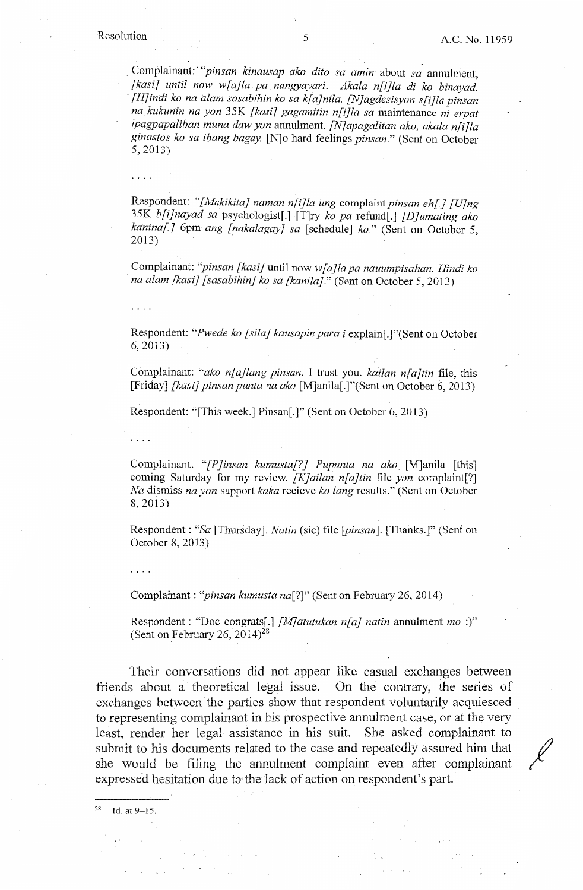. Complainant:· *''pins.an kinausap aka dito sa amin* about *sa* annulment, *[kasi] until now w[a]la pa nangyayari. Akala n[i}la di ko binayad.*  · *[H}indi* ko *na alam sasabihin ko sa k[a]nila. [N]agdesisyon s[i}la pinsan na kukunin na yon* 35K *[kasi} gagamitin n[i}la sa* maintenance *ni erpat ipagpapaliban muna daw yon* annulment. *[N]apagalitan ako, akala n[i]la ginastos ko sa ibang bagay.* [N]o hard feelings *pinsan."* (Sent on October 5, 2013)

Respondent: *"[Makikita] naman n[i]la ung* complaint *pinsan eh[] [U]ng*  35K *b[i]nayad sa* psychologist[.] [T]ry ko pa refund[.] *[D]umating ako kanina[]* 6pm *ang [nakalagay] sa* [schedule] *ko."* (Sent on October 5,  $2013)$ 

Complainant: *"pinsan [kasi}* until now *w[a]la pa nauumpisahan. Hindi ko na alam [kasi] [sasabihin] ko sa [kanila]."* (Sent on October 5, 2013)

. . . .

Respondent: *"Pwede ko [sila] kausapin para i* explain[.]"(Sent on October 6, 2013)

Complainant: *"ako n[a}lang pinsan.* I trust you. *kailan n[a]tin* file, this [Friday] *[kasi] pinsan punta na aka* [M]anila[.]"(Sent on October 6, 2013)

Respondent: "[This week.] Pinsan[.]" (Sent on October 6, 2013)

Complainant: *"[P]insan kumusta[?J Pupunta na ako* [M]anila [this] coming Saturday for my review. *[K]ailan n[a]tin* file *yon* complaint[?] *Na* dismiss *na yon* support *kaka* recieve *ko fang* results." (Sent on October 8, 2013)

Respondent : *"Sa* [Thursday]. *Natin* (sic) file *[pinsan].* [Thanks.]" (Senf on October 8, 2013)

Complainant: *"pinsan kumusta na[?]"* (Sent on February 26, 2014)

Respondent: "Doc congrats[.] *{Af]atutukan n[a] natin* annulment *mo* :)" (Sent on February 26, 2014)<sup>28</sup>

Their conversations did not appear like casual exchanges between friends about a theoretical legal issue. On the contrary, the series of exchanges between the parties show that respondent voluntarily acquiesced to representing complainant in his prospective annulment case, or at the very least, render her legal assistance in his suit. She asked complainant to submit to his documents related to the case and repeatedly assured him that she would be filing the annulment complaint even after complainant expressed hesitation due to· the lack of action on respondent's part.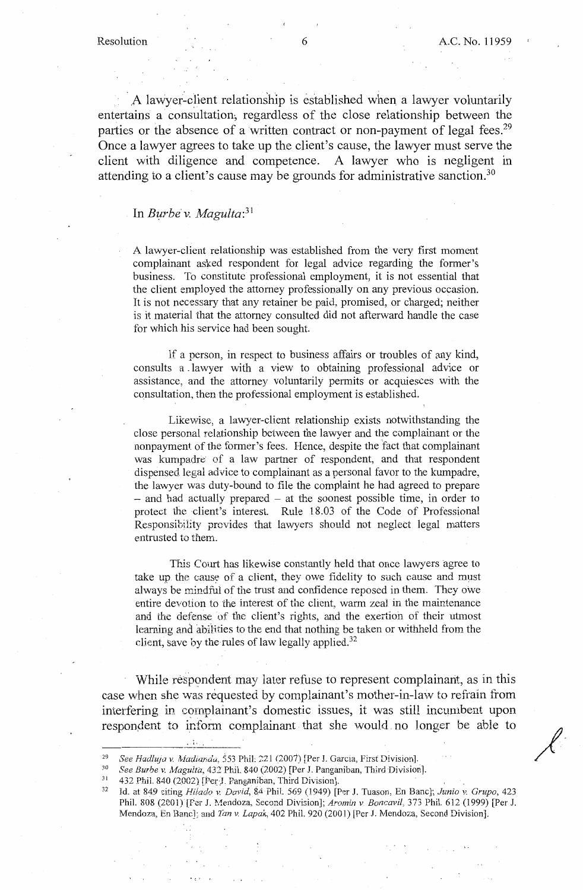A lawyer-client relationship is established when a lawyer voluntarily entertains a consultation, regardless of the close relationship between the parties or the absence of a written contract or non-payment of legal fees.<sup>29</sup> Once a lawyer agrees to take up the client's cause, the lawyer must serve the client with diligence and competence. A lawyer who is negligent in attending to a client's cause may be grounds for administrative sanction.<sup>30</sup>

#### In *Burbe* v. *Magulta*:<sup>31</sup>

A lawyer-client relationship was established from the very first moment complainant asked respondent for legal advice regarding the former's business. To constitute professional employment, it is not essential that the client employed the attorney professionally on any previous occasion. It is not necessary that any retainer be paid, promised, or charged; neither is it material that the attorney consulted did not afterward handle the case for which his service had been sought.

If a person, in respect to business affairs or troubles of any kind, consults a . lawyer with a view to obtaining professional advice or assistance, and the attorney voluntarily permits or acquiesces with the consultation, then the professional employment is established.

Likewise, a lawyer-client relationship exists notwithstanding the close personal relationship between the lawyer and the complainant or the nonpayment of the former's fees. Hence, despite the fact that complainant was kumpadre of a law partner of respondent, and that respondent dispensed legal advice to complainant as a personal favor to the kumpadre, the lawyer was duty-bound to file the complaint he had agreed to prepare - and had actually prepared - at the soonest possible time, in order to protect the client's interest. Rule 18.03 of the Code of Professional Responsibility provides that lawyers should not neglect legal matters entrusted to them.

This Court has likewise constantly held that once lawyers agree to take up the cause of a client, they owe fidelity to such cause and must always be mindful of the trust and confidence reposed in them. They owe entire devotion to the interest of the client, warm zeal in the maintenance and the defense of the client's rights, and the exertion of their utmost learning and abilities to the end that nothing be taken or withheld from the client, save by the rules of law legally applied. $32$ 

While respondent may later refuse to represent complainant, as in this case when she was requested by complainant's mother-in-law to refrain from interfering in complainant's domestic issues, it was still incumbent upon respondent to inform complainant that she would no longer be able to

• I•.,

<sup>&</sup>lt;sup>29</sup> See Hadluja v. Madianda, 553 Phil. 221 (2007) [Per J. Garcia, First Division].<br><sup>30</sup> See Burbe v. Magulta, 432 Phil. 840 (2002) [Per J. Panganiban, Third Division].<br><sup>31</sup> 432 Phil. 840 (2002) [Per J. Panganiban, Third Phil. 808 (2001) [Fer J. Mendoza, Second Division]; *Aromin v. Boncavil*, 373 Phil. 612 (1999) [Per J. Mendoza, En Banc]; and *Tan v. Lapak,* 402 Phil. 920 (2001) [Per J. Mendoza, Second Division].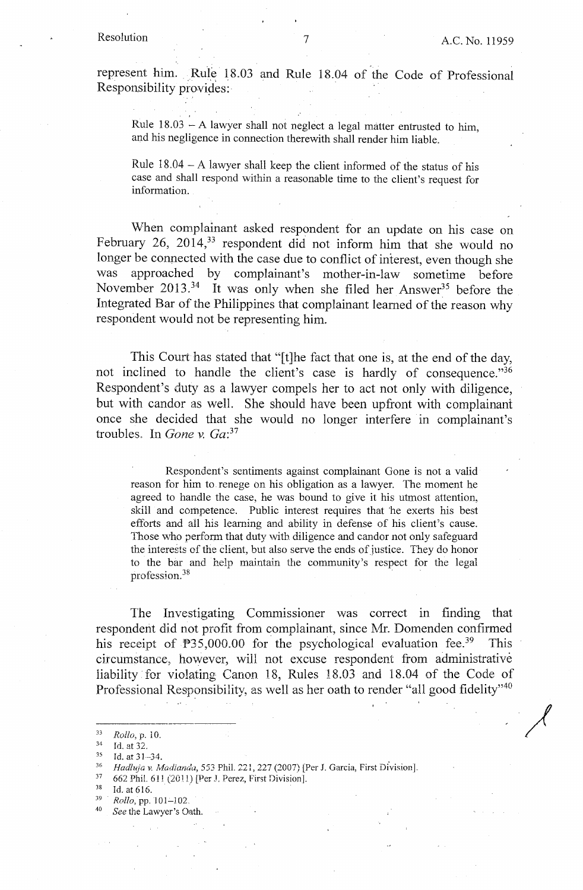$\mathcal{N}$ 

represent him. Rule 18.03 and Rule 18.04 of the Code of Professional Responsibility provides:

Rule  $18.03 - A$  lawyer shall not neglect a legal matter entrusted to him, and his negligence in connection therewith shall render him liable.

Rule  $18.04 - A$  lawyer shall keep the client informed of the status of his case and shall respond within a reasonable time to the client's request for information.

When complainant asked respondent for an update on his case on February 26, 2014,<sup>33</sup> respondent did not inform him that she would no longer be connected with the case due to conflict of interest, even though she was approached by complainant's mother-in-law sometime before November 2013.<sup>34</sup> It was only when she filed her Answer<sup>35</sup> before the Integrated Bar of the Philippines that complainant learned of the reason why respondent would not be representing him.

This Court has stated that "[t]he fact that one is, at the end of the day, not inclined to handle the client's case is hardly of consequence."36 Respondent's duty as a lawyer compels her to act not only with diligence, but with candor as well. She should have been upfront with complainant once she decided that she would no longer interfere in complainant's troubles. In *Gone v. Ga*:<sup>37</sup>

Respondent's sentiments against complainant Gone is not a valid reason for him to renege on his obligation as a lawyer. The moment he agreed to handle the case, he was bound to give it his utmost attention, skill and competence. Public interest requires that he exerts his best efforts and all his learning and ability in defense of his client's cause. Those who perform that duty with diligence and candor not only safeguard the interests of the client, but also serve the ends of justice. They do honor to the bar and help maintain the community's respect for the legal profession. 38

The Investigating Commissioner was correct in finding that respondent did not profit from complainant, since Mr. Domenden confirmed his receipt of  $P35,000.00$  for the psychological evaluation fee.<sup>39</sup> This circumstance, however, will not excuse respondent from administrative liability for violating Canon 18, Rules 18.03 and 18.04 of the Code of Professional Responsibility, as well as her oath to render "all good fidelity"<sup>40</sup>

- 
- 
- 

<sup>&</sup>lt;sup>33</sup> Rollo, p. 10.<br>
<sup>34</sup> Id. at 32.<br>
15. at 31–34.<br> *Hadluja v. Madianda*, 553 Phil. 221, 227 (2007) [Per J. Garcia, First Division].<br>
<sup>37</sup> 662 Phil. 611 (2011) [Per J. Perez, First Division].<br>
<sup>38</sup> Id. at 616.<br> *Rollo*,